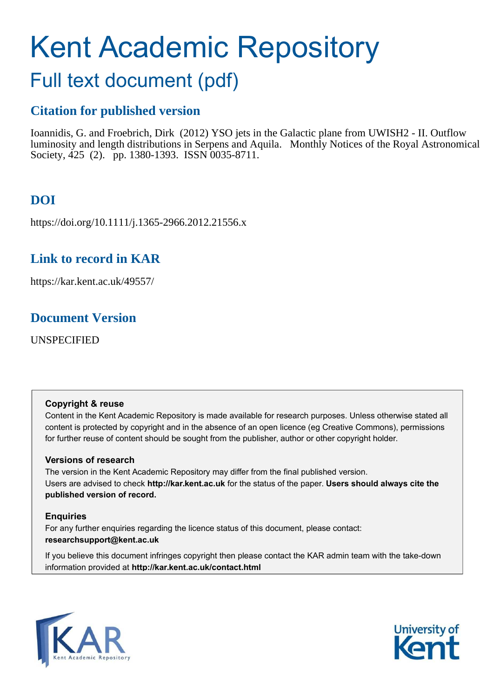# Kent Academic Repository

## Full text document (pdf)

## **Citation for published version**

Ioannidis, G. and Froebrich, Dirk (2012) YSO jets in the Galactic plane from UWISH2 - II. Outflow luminosity and length distributions in Serpens and Aquila. Monthly Notices of the Royal Astronomical Society, 425 (2). pp. 1380-1393. ISSN 0035-8711.

## **DOI**

https://doi.org/10.1111/j.1365-2966.2012.21556.x

## **Link to record in KAR**

https://kar.kent.ac.uk/49557/

## **Document Version**

UNSPECIFIED

## **Copyright & reuse**

Content in the Kent Academic Repository is made available for research purposes. Unless otherwise stated all content is protected by copyright and in the absence of an open licence (eg Creative Commons), permissions for further reuse of content should be sought from the publisher, author or other copyright holder.

## **Versions of research**

The version in the Kent Academic Repository may differ from the final published version. Users are advised to check **http://kar.kent.ac.uk** for the status of the paper. **Users should always cite the published version of record.**

## **Enquiries**

For any further enquiries regarding the licence status of this document, please contact: **researchsupport@kent.ac.uk**

If you believe this document infringes copyright then please contact the KAR admin team with the take-down information provided at **http://kar.kent.ac.uk/contact.html**



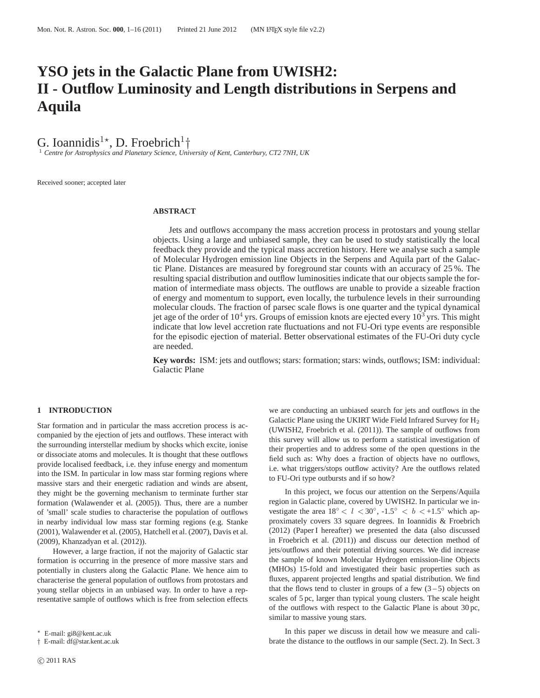## **YSO jets in the Galactic Plane from UWISH2: II - Outflow Luminosity and Length distributions in Serpens and Aquila**

G. Ioannidis<sup>1\*</sup>, D. Froebrich<sup>1</sup><sup>†</sup>

<sup>1</sup> *Centre for Astrophysics and Planetary Science, University of Kent, Canterbury, CT2 7NH, UK*

Received sooner; accepted later

#### **ABSTRACT**

Jets and outflows accompany the mass accretion process in protostars and young stellar objects. Using a large and unbiased sample, they can be used to study statistically the local feedback they provide and the typical mass accretion history. Here we analyse such a sample of Molecular Hydrogen emission line Objects in the Serpens and Aquila part of the Galactic Plane. Distances are measured by foreground star counts with an accuracy of 25 %. The resulting spacial distribution and outflow luminosities indicate that our objects sample the formation of intermediate mass objects. The outflows are unable to provide a sizeable fraction of energy and momentum to support, even locally, the turbulence levels in their surrounding molecular clouds. The fraction of parsec scale flows is one quarter and the typical dynamical jet age of the order of  $10^4$  yrs. Groups of emission knots are ejected every  $10^3$  yrs. This might indicate that low level accretion rate fluctuations and not FU-Ori type events are responsible for the episodic ejection of material. Better observational estimates of the FU-Ori duty cycle are needed.

**Key words:** ISM: jets and outflows; stars: formation; stars: winds, outflows; ISM: individual: Galactic Plane

#### **1 INTRODUCTION**

Star formation and in particular the mass accretion process is accompanied by the ejection of jets and outflows. These interact with the surrounding interstellar medium by shocks which excite, ionise or dissociate atoms and molecules. It is thought that these outflows provide localised feedback, i.e. they infuse energy and momentum into the ISM. In particular in low mass star forming regions where massive stars and their energetic radiation and winds are absent, they might be the governing mechanism to terminate further star formation (Walawender et al. (2005)). Thus, there are a number of 'small' scale studies to characterise the population of outflows in nearby individual low mass star forming regions (e.g. Stanke (2001), Walawender et al. (2005), Hatchell et al. (2007), Davis et al. (2009), Khanzadyan et al. (2012)).

However, a large fraction, if not the majority of Galactic star formation is occurring in the presence of more massive stars and potentially in clusters along the Galactic Plane. We hence aim to characterise the general population of outflows from protostars and young stellar objects in an unbiased way. In order to have a representative sample of outflows which is free from selection effects

we are conducting an unbiased search for jets and outflows in the Galactic Plane using the UKIRT Wide Field Infrared Survey for H<sub>2</sub> (UWISH2, Froebrich et al. (2011)). The sample of outflows from this survey will allow us to perform a statistical investigation of their properties and to address some of the open questions in the field such as: Why does a fraction of objects have no outflows, i.e. what triggers/stops outflow activity? Are the outflows related to FU-Ori type outbursts and if so how?

In this project, we focus our attention on the Serpens/Aquila region in Galactic plane, covered by UWISH2. In particular we investigate the area  $18° < l < 30°$ ,  $-1.5° < b < +1.5°$  which approximately covers 33 square degrees. In Ioannidis & Froebrich (2012) (Paper I hereafter) we presented the data (also discussed in Froebrich et al. (2011)) and discuss our detection method of jets/outflows and their potential driving sources. We did increase the sample of known Molecular Hydrogen emission-line Objects (MHOs) 15-fold and investigated their basic properties such as fluxes, apparent projected lengths and spatial distribution. We find that the flows tend to cluster in groups of a few  $(3-5)$  objects on scales of 5 pc, larger than typical young clusters. The scale height of the outflows with respect to the Galactic Plane is about 30 pc, similar to massive young stars.

In this paper we discuss in detail how we measure and calibrate the distance to the outflows in our sample (Sect. 2). In Sect. 3

<sup>⋆</sup> E-mail: gi8@kent.ac.uk

<sup>†</sup> E-mail: df@star.kent.ac.uk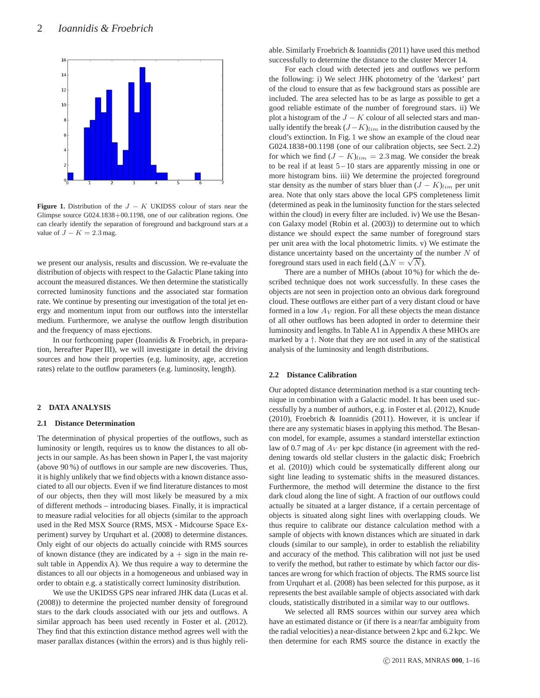

**Figure 1.** Distribution of the  $J - K$  UKIDSS colour of stars near the Glimpse source G024.1838+00.1198, one of our calibration regions. One can clearly identify the separation of foreground and background stars at a value of  $J - K = 2.3$  mag.

we present our analysis, results and discussion. We re-evaluate the distribution of objects with respect to the Galactic Plane taking into account the measured distances. We then determine the statistically corrected luminosity functions and the associated star formation rate. We continue by presenting our investigation of the total jet energy and momentum input from our outflows into the interstellar medium. Furthermore, we analyse the outflow length distribution and the frequency of mass ejections.

In our forthcoming paper (Ioannidis & Froebrich, in preparation, hereafter Paper III), we will investigate in detail the driving sources and how their properties (e.g. luminosity, age, accretion rates) relate to the outflow parameters (e.g. luminosity, length).

#### **2 DATA ANALYSIS**

#### **2.1 Distance Determination**

The determination of physical properties of the outflows, such as luminosity or length, requires us to know the distances to all objects in our sample. As has been shown in Paper I, the vast majority (above 90 %) of outflows in our sample are new discoveries. Thus, it is highly unlikely that we find objects with a known distance associated to all our objects. Even if we find literature distances to most of our objects, then they will most likely be measured by a mix of different methods – introducing biases. Finally, it is impractical to measure radial velocities for all objects (similar to the approach used in the Red MSX Source (RMS, MSX - Midcourse Space Experiment) survey by Urquhart et al. (2008) to determine distances. Only eight of our objects do actually coincide with RMS sources of known distance (they are indicated by  $a + sign$  in the main result table in Appendix A). We thus require a way to determine the distances to all our objects in a homogeneous and unbiased way in order to obtain e.g. a statistically correct luminosity distribution.

We use the UKIDSS GPS near infrared JHK data (Lucas et al. (2008)) to determine the projected number density of foreground stars to the dark clouds associated with our jets and outflows. A similar approach has been used recently in Foster et al. (2012). They find that this extinction distance method agrees well with the maser parallax distances (within the errors) and is thus highly reliable. Similarly Froebrich & Ioannidis (2011) have used this method successfully to determine the distance to the cluster Mercer 14.

For each cloud with detected jets and outflows we perform the following: i) We select JHK photometry of the 'darkest' part of the cloud to ensure that as few background stars as possible are included. The area selected has to be as large as possible to get a good reliable estimate of the number of foreground stars. ii) We plot a histogram of the  $J - K$  colour of all selected stars and manually identify the break  $(J-K)_{lim}$  in the distribution caused by the cloud's extinction. In Fig. 1 we show an example of the cloud near G024.1838+00.1198 (one of our calibration objects, see Sect. 2.2) for which we find  $(J - K)_{lim} = 2.3$  mag. We consider the break to be real if at least  $5 - 10$  stars are apparently missing in one or more histogram bins. iii) We determine the projected foreground star density as the number of stars bluer than  $(J - K)_{lim}$  per unit area. Note that only stars above the local GPS completeness limit (determined as peak in the luminosity function for the stars selected within the cloud) in every filter are included. iv) We use the Besancon Galaxy model (Robin et al. (2003)) to determine out to which distance we should expect the same number of foreground stars per unit area with the local photometric limits. v) We estimate the distance uncertainty based on the uncertainty of the number  $N$  of foreground stars used in each field  $(\Delta N = \sqrt{N})$ .

There are a number of MHOs (about 10 %) for which the described technique does not work successfully. In these cases the objects are not seen in projection onto an obvious dark foreground cloud. These outflows are either part of a very distant cloud or have formed in a low  $A_V$  region. For all these objects the mean distance of all other outflows has been adopted in order to determine their luminosity and lengths. In Table A1 in Appendix A these MHOs are marked by a †. Note that they are not used in any of the statistical analysis of the luminosity and length distributions.

#### **2.2 Distance Calibration**

Our adopted distance determination method is a star counting technique in combination with a Galactic model. It has been used successfully by a number of authors, e.g. in Foster et al. (2012), Knude (2010), Froebrich & Ioannidis (2011). However, it is unclear if there are any systematic biases in applying this method. The Besancon model, for example, assumes a standard interstellar extinction law of 0.7 mag of  $A_V$  per kpc distance (in agreement with the reddening towards old stellar clusters in the galactic disk; Froebrich et al. (2010)) which could be systematically different along our sight line leading to systematic shifts in the measured distances. Furthermore, the method will determine the distance to the first dark cloud along the line of sight. A fraction of our outflows could actually be situated at a larger distance, if a certain percentage of objects is situated along sight lines with overlapping clouds. We thus require to calibrate our distance calculation method with a sample of objects with known distances which are situated in dark clouds (similar to our sample), in order to establish the reliability and accuracy of the method. This calibration will not just be used to verify the method, but rather to estimate by which factor our distances are wrong for which fraction of objects. The RMS source list from Urquhart et al. (2008) has been selected for this purpose, as it represents the best available sample of objects associated with dark clouds, statistically distributed in a similar way to our outflows.

We selected all RMS sources within our survey area which have an estimated distance or (if there is a near/far ambiguity from the radial velocities) a near-distance between 2 kpc and 6.2 kpc. We then determine for each RMS source the distance in exactly the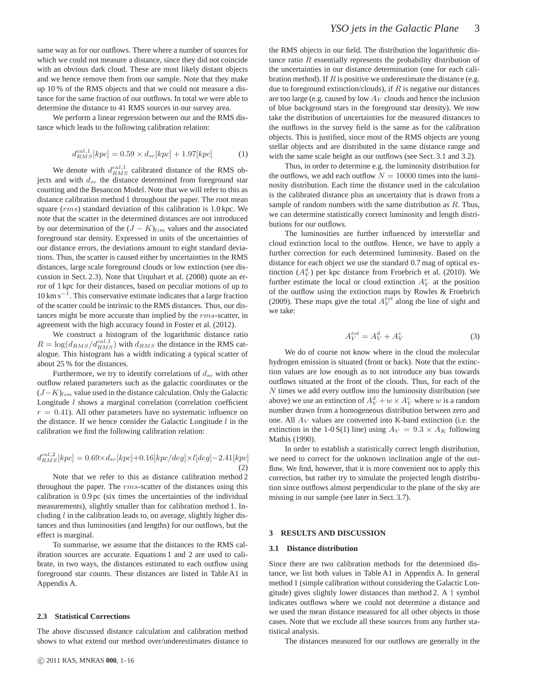same way as for our outflows. There where a number of sources for which we could not measure a distance, since they did not coincide with an obvious dark cloud. These are most likely distant objects and we hence remove them from our sample. Note that they make up 10 % of the RMS objects and that we could not measure a distance for the same fraction of our outflows. In total we were able to determine the distance to 41 RMS sources in our survey area.

We perform a linear regression between our and the RMS distance which leads to the following calibration relation:

$$
d_{RMS}^{cal,1}[kpc] = 0.59 \times d_{sc}[kpc] + 1.97[kpc]
$$
 (1)

We denote with  $d_{RMS}^{cal,1}$  calibrated distance of the RMS objects and with  $d_{sc}$  the distance determined from foreground star counting and the Besancon Model. Note that we will refer to this as distance calibration method 1 throughout the paper. The root mean square (rms) standard deviation of this calibration is 1.0 kpc. We note that the scatter in the determined distances are not introduced by our determination of the  $(J - K)_{lim}$  values and the associated foreground star density. Expressed in units of the uncertainties of our distance errors, the deviations amount to eight standard deviations. Thus, the scatter is caused either by uncertainties in the RMS distances, large scale foreground clouds or low extinction (see discussion in Sect. 2.3). Note that Urquhart et al. (2008) quote an error of 1 kpc for their distances, based on peculiar motions of up to 10 km s<sup>−</sup><sup>1</sup> . This conservative estimate indicates that a large fraction of the scatter could be intrinsic to the RMS distances. Thus, our distances might be more accurate than implied by the rms-scatter, in agreement with the high accuracy found in Foster et al. (2012).

We construct a histogram of the logarithmic distance ratio  $R = \log(d_{RMS}/d_{RMS}^{cal,1})$  with  $d_{RMS}$  the distance in the RMS catalogue. This histogram has a width indicating a typical scatter of about 25 % for the distances.

Furthermore, we try to identify correlations of  $d_{sc}$  with other outflow related parameters such as the galactic coordinates or the  $(J-K)_{lim}$  value used in the distance calculation. Only the Galactic Longitude  $l$  shows a marginal correlation (correlation coefficient  $r = 0.41$ ). All other parameters have no systematic influence on the distance. If we hence consider the Galactic Longitude  $l$  in the calibration we find the following calibration relation:

$$
d_{RMS}^{cal,2}[kpc] = 0.69 \times d_{sc}[kpc] + 0.16[kpc/deg] \times l[deg] - 2.41[kpc]
$$
\n(2)

Note that we refer to this as distance calibration method 2 throughout the paper. The rms-scatter of the distances using this calibration is 0.9 pc (six times the uncertainties of the individual measurements), slightly smaller than for calibration method 1. Including  $l$  in the calibration leads to, on average, slightly higher distances and thus luminosities (and lengths) for our outflows, but the effect is marginal.

To summarise, we assume that the distances to the RMS calibration sources are accurate. Equations 1 and 2 are used to calibrate, in two ways, the distances estimated to each outflow using foreground star counts. These distances are listed in Table A1 in Appendix A.

#### **2.3 Statistical Corrections**

The above discussed distance calculation and calibration method shows to what extend our method over/underestimates distance to

the RMS objects in our field. The distribution the logarithmic distance ratio R essentially represents the probability distribution of the uncertainties in our distance determination (one for each calibration method). If  $R$  is positive we underestimate the distance (e.g. due to foreground extinction/clouds), if  $R$  is negative our distances are too large (e.g. caused by low  $Av$  clouds and hence the inclusion of blue background stars in the foreground star density). We now take the distribution of uncertainties for the measured distances to the outflows in the survey field is the same as for the calibration objects. This is justified, since most of the RMS objects are young stellar objects and are distributed in the same distance range and with the same scale height as our outflows (see Sect. 3.1 and 3.2).

Thus, in order to determine e.g. the luminosity distribution for the outflows, we add each outflow  $N = 10000$  times into the luminosity distribution. Each time the distance used in the calculation is the calibrated distance plus an uncertainty that is drawn from a sample of random numbers with the same distribution as  $R$ . Thus, we can determine statistically correct luminosity and length distributions for our outflows.

The luminosities are further influenced by interstellar and cloud extinction local to the outflow. Hence, we have to apply a further correction for each determined luminosity. Based on the distance for each object we use the standard 0.7 mag of optical extinction  $(A_V^d)$  per kpc distance from Froebrich et al. (2010). We further estimate the local or cloud extinction  $A_V^c$  at the position of the outflow using the extinction maps by Rowles & Froebrich (2009). These maps give the total  $A_V^{tot}$  along the line of sight and we take:

$$
A_V^{tot} = A_V^d + A_V^c \tag{3}
$$

We do of course not know where in the cloud the molecular hydrogen emission is situated (front or back). Note that the extinction values are low enough as to not introduce any bias towards outflows situated at the front of the clouds. Thus, for each of the  $N$  times we add every outflow into the luminosity distribution (see above) we use an extinction of  $A_V^d + w \times A_V^c$  where w is a random number drawn from a homogeneous distribution between zero and one. All  $A_V$  values are converted into K-band extinction (i.e. the extinction in the 1-0 S(1) line) using  $A_V = 9.3 \times A_K$  following Mathis (1990).

In order to establish a statistically correct length distribution, we need to correct for the unknown inclination angle of the outflow. We find, however, that it is more convenient not to apply this correction, but rather try to simulate the projected length distribution since outflows almost perpendicular to the plane of the sky are missing in our sample (see later in Sect. 3.7).

#### **3 RESULTS AND DISCUSSION**

#### **3.1 Distance distribution**

Since there are two calibration methods for the determined distance, we list both values in Table A1 in Appendix A. In general method 1 (simple calibration without considering the Galactic Longitude) gives slightly lower distances than method 2. A † symbol indicates outflows where we could not determine a distance and we used the mean distance measured for all other objects in those cases. Note that we exclude all these sources from any further statistical analysis.

The distances measured for our outflows are generally in the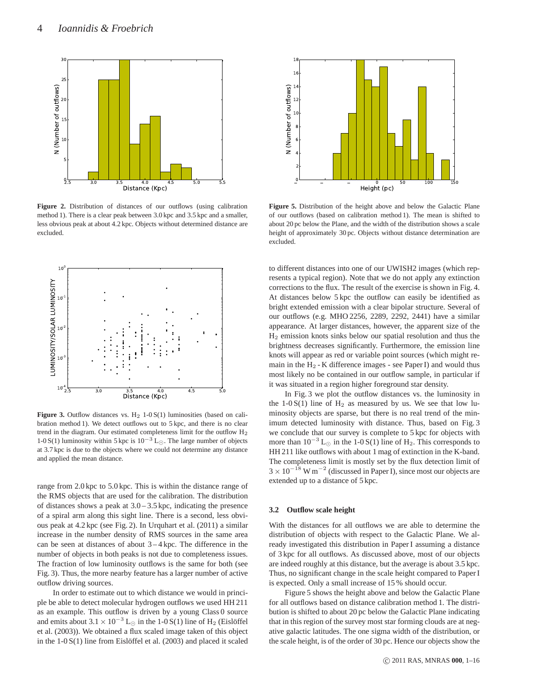

**Figure 2.** Distribution of distances of our outflows (using calibration method 1). There is a clear peak between 3.0 kpc and 3.5 kpc and a smaller, less obvious peak at about 4.2 kpc. Objects without determined distance are excluded.



**Figure 3.** Outflow distances vs.  $H_2$  1-0  $S(1)$  luminosities (based on calibration method 1). We detect outflows out to 5 kpc, and there is no clear trend in the diagram. Our estimated completeness limit for the outflow H<sup>2</sup> 1-0 S(1) luminosity within 5 kpc is  $10^{-3}$  L<sub>⊙</sub>. The large number of objects at 3.7 kpc is due to the objects where we could not determine any distance and applied the mean distance.

range from 2.0 kpc to 5.0 kpc. This is within the distance range of the RMS objects that are used for the calibration. The distribution of distances shows a peak at  $3.0 - 3.5$  kpc, indicating the presence of a spiral arm along this sight line. There is a second, less obvious peak at 4.2 kpc (see Fig. 2). In Urquhart et al. (2011) a similar increase in the number density of RMS sources in the same area can be seen at distances of about  $3-4$  kpc. The difference in the number of objects in both peaks is not due to completeness issues. The fraction of low luminosity outflows is the same for both (see Fig. 3). Thus, the more nearby feature has a larger number of active outflow driving sources.

In order to estimate out to which distance we would in principle be able to detect molecular hydrogen outflows we used HH 211 as an example. This outflow is driven by a young Class 0 source and emits about  $3.1 \times 10^{-3}$  L<sub>☉</sub> in the 1-0 S(1) line of H<sub>2</sub> (Eislöffel et al. (2003)). We obtained a flux scaled image taken of this object in the  $1-0 S(1)$  line from Eislöffel et al. (2003) and placed it scaled



**Figure 5.** Distribution of the height above and below the Galactic Plane of our outflows (based on calibration method 1). The mean is shifted to about 20 pc below the Plane, and the width of the distribution shows a scale height of approximately 30 pc. Objects without distance determination are excluded.

to different distances into one of our UWISH2 images (which represents a typical region). Note that we do not apply any extinction corrections to the flux. The result of the exercise is shown in Fig. 4. At distances below 5 kpc the outflow can easily be identified as bright extended emission with a clear bipolar structure. Several of our outflows (e.g. MHO 2256, 2289, 2292, 2441) have a similar appearance. At larger distances, however, the apparent size of the H<sup>2</sup> emission knots sinks below our spatial resolution and thus the brightness decreases significantly. Furthermore, the emission line knots will appear as red or variable point sources (which might remain in the  $H_2$  - K difference images - see Paper I) and would thus most likely no be contained in our outflow sample, in particular if it was situated in a region higher foreground star density.

In Fig. 3 we plot the outflow distances vs. the luminosity in the  $1-0 S(1)$  line of  $H_2$  as measured by us. We see that low luminosity objects are sparse, but there is no real trend of the minimum detected luminosity with distance. Thus, based on Fig. 3 we conclude that our survey is complete to 5 kpc for objects with more than  $10^{-3}$  L<sub>⊙</sub> in the 1-0 S(1) line of H<sub>2</sub>. This corresponds to HH 211 like outflows with about 1 mag of extinction in the K-band. The completeness limit is mostly set by the flux detection limit of  $3 \times 10^{-18}$  W m<sup>-2</sup> (discussed in Paper I), since most our objects are extended up to a distance of 5 kpc.

#### **3.2 Outflow scale height**

With the distances for all outflows we are able to determine the distribution of objects with respect to the Galactic Plane. We already investigated this distribution in Paper I assuming a distance of 3 kpc for all outflows. As discussed above, most of our objects are indeed roughly at this distance, but the average is about 3.5 kpc. Thus, no significant change in the scale height compared to Paper I is expected. Only a small increase of 15 % should occur.

Figure 5 shows the height above and below the Galactic Plane for all outflows based on distance calibration method 1. The distribution is shifted to about 20 pc below the Galactic Plane indicating that in this region of the survey most star forming clouds are at negative galactic latitudes. The one sigma width of the distribution, or the scale height, is of the order of 30 pc. Hence our objects show the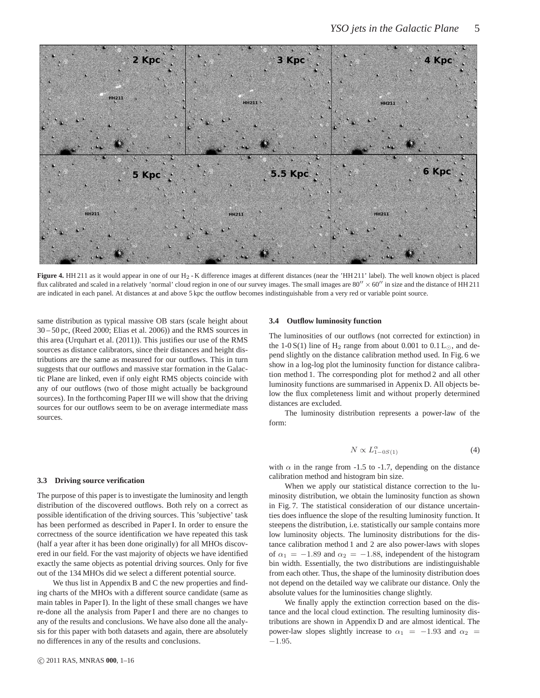

Figure 4. HH 211 as it would appear in one of our H<sub>2</sub> - K difference images at different distances (near the 'HH 211' label). The well known object is placed flux calibrated and scaled in a relatively 'normal' cloud region in one of our survey images. The small images are  $80'' \times 60''$  in size and the distance of HH 211 are indicated in each panel. At distances at and above 5 kpc the outflow becomes indistinguishable from a very red or variable point source.

same distribution as typical massive OB stars (scale height about 30 – 50 pc, (Reed 2000; Elias et al. 2006)) and the RMS sources in this area (Urquhart et al. (2011)). This justifies our use of the RMS sources as distance calibrators, since their distances and height distributions are the same as measured for our outflows. This in turn suggests that our outflows and massive star formation in the Galactic Plane are linked, even if only eight RMS objects coincide with any of our outflows (two of those might actually be background sources). In the forthcoming Paper III we will show that the driving sources for our outflows seem to be on average intermediate mass sources.

#### **3.3 Driving source verification**

The purpose of this paper is to investigate the luminosity and length distribution of the discovered outflows. Both rely on a correct as possible identification of the driving sources. This 'subjective' task has been performed as described in Paper I. In order to ensure the correctness of the source identification we have repeated this task (half a year after it has been done originally) for all MHOs discovered in our field. For the vast majority of objects we have identified exactly the same objects as potential driving sources. Only for five out of the 134 MHOs did we select a different potential source.

We thus list in Appendix B and C the new properties and finding charts of the MHOs with a different source candidate (same as main tables in Paper I). In the light of these small changes we have re-done all the analysis from Paper I and there are no changes to any of the results and conclusions. We have also done all the analysis for this paper with both datasets and again, there are absolutely no differences in any of the results and conclusions.

#### **3.4 Outflow luminosity function**

The luminosities of our outflows (not corrected for extinction) in the 1-0 S(1) line of H<sub>2</sub> range from about 0.001 to  $0.1 L_{\odot}$ , and depend slightly on the distance calibration method used. In Fig. 6 we show in a log-log plot the luminosity function for distance calibration method 1. The corresponding plot for method 2 and all other luminosity functions are summarised in Appenix D. All objects below the flux completeness limit and without properly determined distances are excluded.

The luminosity distribution represents a power-law of the form:

$$
N \propto L_{1-0S(1)}^{\alpha} \tag{4}
$$

with  $\alpha$  in the range from -1.5 to -1.7, depending on the distance calibration method and histogram bin size.

When we apply our statistical distance correction to the luminosity distribution, we obtain the luminosity function as shown in Fig. 7. The statistical consideration of our distance uncertainties does influence the slope of the resulting luminosity function. It steepens the distribution, i.e. statistically our sample contains more low luminosity objects. The luminosity distributions for the distance calibration method 1 and 2 are also power-laws with slopes of  $\alpha_1 = -1.89$  and  $\alpha_2 = -1.88$ , independent of the histogram bin width. Essentially, the two distributions are indistinguishable from each other. Thus, the shape of the luminosity distribution does not depend on the detailed way we calibrate our distance. Only the absolute values for the luminosities change slightly.

We finally apply the extinction correction based on the distance and the local cloud extinction. The resulting luminosity distributions are shown in Appendix D and are almost identical. The power-law slopes slightly increase to  $\alpha_1 = -1.93$  and  $\alpha_2 =$ −1.95.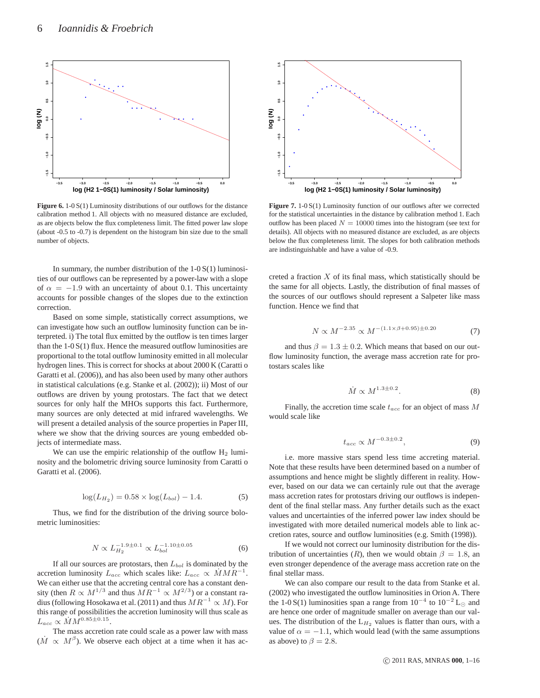

**Figure 6.** 1-0 S(1) Luminosity distributions of our outflows for the distance calibration method 1. All objects with no measured distance are excluded, as are objects below the flux completeness limit. The fitted power law slope (about -0.5 to -0.7) is dependent on the histogram bin size due to the small number of objects.

In summary, the number distribution of the  $1-0 S(1)$  luminosities of our outflows can be represented by a power-law with a slope of  $\alpha = -1.9$  with an uncertainty of about 0.1. This uncertainty accounts for possible changes of the slopes due to the extinction correction.

Based on some simple, statistically correct assumptions, we can investigate how such an outflow luminosity function can be interpreted. i) The total flux emitted by the outflow is ten times larger than the  $1-0 S(1)$  flux. Hence the measured outflow luminosities are proportional to the total outflow luminosity emitted in all molecular hydrogen lines. This is correct for shocks at about 2000 K (Caratti o Garatti et al. (2006)), and has also been used by many other authors in statistical calculations (e.g. Stanke et al. (2002)); ii) Most of our outflows are driven by young protostars. The fact that we detect sources for only half the MHOs supports this fact. Furthermore, many sources are only detected at mid infrared wavelengths. We will present a detailed analysis of the source properties in Paper III, where we show that the driving sources are young embedded objects of intermediate mass.

We can use the empiric relationship of the outflow  $H_2$  luminosity and the bolometric driving source luminosity from Caratti o Garatti et al. (2006).

$$
\log(L_{H_2}) = 0.58 \times \log(L_{bol}) - 1.4. \tag{5}
$$

Thus, we find for the distribution of the driving source bolometric luminosities:

$$
N \propto L_{H_2}^{-1.9 \pm 0.1} \propto L_{bol}^{-1.10 \pm 0.05}
$$
 (6)

If all our sources are protostars, then  $L_{bol}$  is dominated by the accretion luminosity  $L_{acc}$  which scales like:  $L_{acc} \propto \dot{M} M R^{-1}$ . We can either use that the accreting central core has a constant density (then  $R \propto M^{1/3}$  and thus  $MR^{-1} \propto M^{2/3}$ ) or a constant radius (following Hosokawa et al. (2011) and thus  $MR^{-1} \propto M$ ). For this range of possibilities the accretion luminosity will thus scale as  $L_{acc} \propto \dot{M} M^{0.85 \pm 0.15}.$ 

The mass accretion rate could scale as a power law with mass  $(M \propto M^{\beta})$ . We observe each object at a time when it has ac-



**Figure 7.** 1-0 S(1) Luminosity function of our outflows after we corrected for the statistical uncertainties in the distance by calibration method 1. Each outflow has been placed  $N = 10000$  times into the histogram (see text for details). All objects with no measured distance are excluded, as are objects below the flux completeness limit. The slopes for both calibration methods are indistinguishable and have a value of -0.9.

creted a fraction  $X$  of its final mass, which statistically should be the same for all objects. Lastly, the distribution of final masses of the sources of our outflows should represent a Salpeter like mass function. Hence we find that

$$
N \propto M^{-2.35} \propto M^{-(1.1 \times \beta + 0.95) \pm 0.20}
$$
 (7)

and thus  $\beta = 1.3 \pm 0.2$ . Which means that based on our outflow luminosity function, the average mass accretion rate for protostars scales like

$$
\dot{M} \propto M^{1.3 \pm 0.2}.\tag{8}
$$

Finally, the accretion time scale  $t_{acc}$  for an object of mass  $M$ would scale like

$$
t_{acc} \propto M^{-0.3 \pm 0.2},\tag{9}
$$

i.e. more massive stars spend less time accreting material. Note that these results have been determined based on a number of assumptions and hence might be slightly different in reality. However, based on our data we can certainly rule out that the average mass accretion rates for protostars driving our outflows is independent of the final stellar mass. Any further details such as the exact values and uncertainties of the inferred power law index should be investigated with more detailed numerical models able to link accretion rates, source and outflow luminosities (e.g. Smith (1998)).

If we would not correct our luminosity distribution for the distribution of uncertainties (R), then we would obtain  $\beta = 1.8$ , an even stronger dependence of the average mass accretion rate on the final stellar mass.

We can also compare our result to the data from Stanke et al. (2002) who investigated the outflow luminosities in Orion A. There the 1-0 S(1) luminosities span a range from  $10^{-4}$  to  $10^{-2}$  L<sub>☉</sub> and are hence one order of magnitude smaller on average than our values. The distribution of the  $L_{H_2}$  values is flatter than ours, with a value of  $\alpha = -1.1$ , which would lead (with the same assumptions as above) to  $\beta = 2.8$ .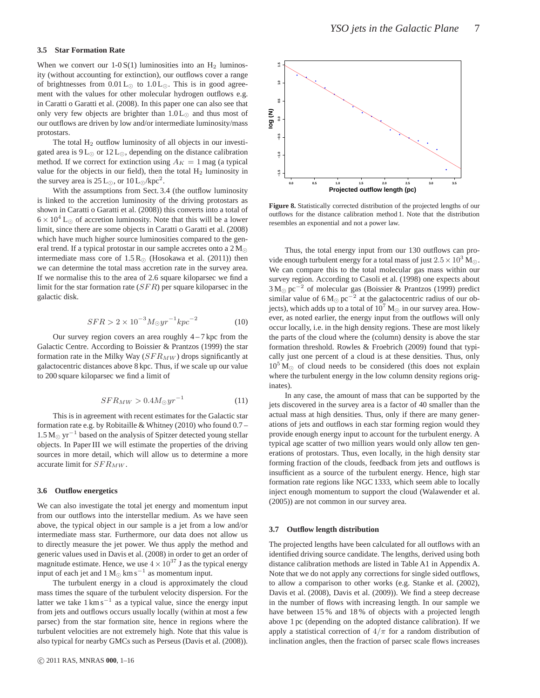When we convert our  $1-0 S(1)$  luminosities into an H<sub>2</sub> luminosity (without accounting for extinction), our outflows cover a range of brightnesses from  $0.01 L_{\odot}$  to  $1.0 L_{\odot}$ . This is in good agreement with the values for other molecular hydrogen outflows e.g. in Caratti o Garatti et al. (2008). In this paper one can also see that only very few objects are brighter than  $1.0 L_{\odot}$  and thus most of our outflows are driven by low and/or intermediate luminosity/mass protostars.

The total H<sub>2</sub> outflow luminosity of all objects in our investigated area is  $9L_{\odot}$  or  $12L_{\odot}$ , depending on the distance calibration method. If we correct for extinction using  $A_K = 1$  mag (a typical value for the objects in our field), then the total  $H_2$  luminosity in the survey area is  $25 \text{ L}_{\odot}$ , or  $10 \text{ L}_{\odot}/\text{kpc}^2$ .

With the assumptions from Sect. 3.4 (the outflow luminosity is linked to the accretion luminosity of the driving protostars as shown in Caratti o Garatti et al. (2008)) this converts into a total of  $6 \times 10^4$  L<sub>☉</sub> of accretion luminosity. Note that this will be a lower limit, since there are some objects in Caratti o Garatti et al. (2008) which have much higher source luminosities compared to the general trend. If a typical protostar in our sample accretes onto a  $2 M_{\odot}$ intermediate mass core of  $1.5 R_{\odot}$  (Hosokawa et al. (2011)) then we can determine the total mass accretion rate in the survey area. If we normalise this to the area of 2.6 square kiloparsec we find a limit for the star formation rate  $(SFR)$  per square kiloparsec in the galactic disk.

$$
SFR > 2 \times 10^{-3} M_{\odot} yr^{-1} kpc^{-2}
$$
 (10)

Our survey region covers an area roughly  $4 - 7$  kpc from the Galactic Centre. According to Boissier & Prantzos (1999) the star formation rate in the Milky Way  $(SFR_{MW})$  drops significantly at galactocentric distances above 8 kpc. Thus, if we scale up our value to 200 square kiloparsec we find a limit of

$$
SFR_{MW} > 0.4 M_{\odot} yr^{-1}
$$
 (11)

This is in agreement with recent estimates for the Galactic star formation rate e.g. by Robitaille & Whitney (2010) who found 0.7 –  $1.5 M_{\odot}$  yr<sup>-1</sup> based on the analysis of Spitzer detected young stellar objects. In Paper III we will estimate the properties of the driving sources in more detail, which will allow us to determine a more accurate limit for  $SFR_{MW}$ .

#### **3.6 Outflow energetics**

We can also investigate the total jet energy and momentum input from our outflows into the interstellar medium. As we have seen above, the typical object in our sample is a jet from a low and/or intermediate mass star. Furthermore, our data does not allow us to directly measure the jet power. We thus apply the method and generic values used in Davis et al. (2008) in order to get an order of magnitude estimate. Hence, we use  $4 \times 10^{37}$  J as the typical energy input of each jet and  $1 M_{\odot}$  km s<sup>-1</sup> as momentum input.

The turbulent energy in a cloud is approximately the cloud mass times the square of the turbulent velocity dispersion. For the latter we take  $1 \text{ km s}^{-1}$  as a typical value, since the energy input from jets and outflows occurs usually locally (within at most a few parsec) from the star formation site, hence in regions where the turbulent velocities are not extremely high. Note that this value is also typical for nearby GMCs such as Perseus (Davis et al. (2008)).



**Figure 8.** Statistically corrected distribution of the projected lengths of our outflows for the distance calibration method 1. Note that the distribution resembles an exponential and not a power law.

Thus, the total energy input from our 130 outflows can provide enough turbulent energy for a total mass of just  $2.5 \times 10^3$  M<sub>☉</sub>. We can compare this to the total molecular gas mass within our survey region. According to Casoli et al. (1998) one expects about  $3 M_{\odot}$  pc<sup>-2</sup> of molecular gas (Boissier & Prantzos (1999) predict similar value of  $6 M_{\odot}$  pc<sup>-2</sup> at the galactocentric radius of our objects), which adds up to a total of  $10^7$  M<sub>☉</sub> in our survey area. However, as noted earlier, the energy input from the outflows will only occur locally, i.e. in the high density regions. These are most likely the parts of the cloud where the (column) density is above the star formation threshold. Rowles & Froebrich (2009) found that typically just one percent of a cloud is at these densities. Thus, only  $10^5$  M<sub> $\odot$ </sub> of cloud needs to be considered (this does not explain where the turbulent energy in the low column density regions originates).

In any case, the amount of mass that can be supported by the jets discovered in the survey area is a factor of 40 smaller than the actual mass at high densities. Thus, only if there are many generations of jets and outflows in each star forming region would they provide enough energy input to account for the turbulent energy. A typical age scatter of two million years would only allow ten generations of protostars. Thus, even locally, in the high density star forming fraction of the clouds, feedback from jets and outflows is insufficient as a source of the turbulent energy. Hence, high star formation rate regions like NGC 1333, which seem able to locally inject enough momentum to support the cloud (Walawender et al. (2005)) are not common in our survey area.

#### **3.7 Outflow length distribution**

The projected lengths have been calculated for all outflows with an identified driving source candidate. The lengths, derived using both distance calibration methods are listed in Table A1 in Appendix A. Note that we do not apply any corrections for single sided outflows, to allow a comparison to other works (e.g. Stanke et al. (2002), Davis et al. (2008), Davis et al. (2009)). We find a steep decrease in the number of flows with increasing length. In our sample we have between 15% and 18% of objects with a projected length above 1 pc (depending on the adopted distance calibration). If we apply a statistical correction of  $4/\pi$  for a random distribution of inclination angles, then the fraction of parsec scale flows increases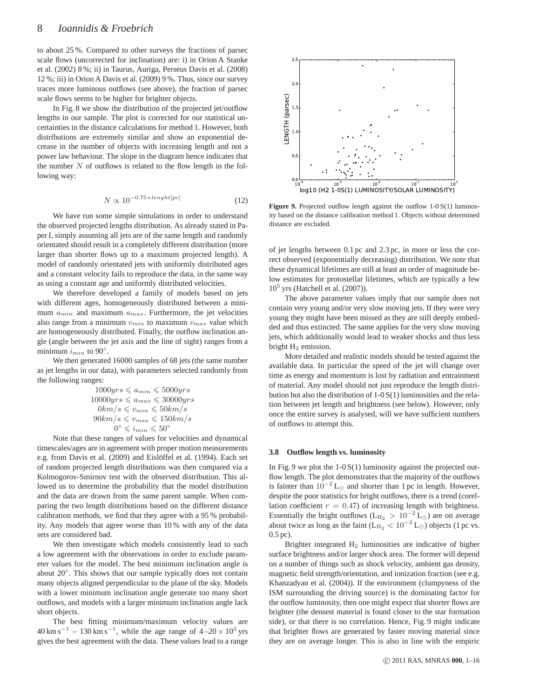to about 25 %. Compared to other surveys the fractions of parsec scale flows (uncorrected for inclination) are: i) in Orion A Stanke et al. (2002) 8 %; ii) in Taurus, Auriga, Perseus Davis et al. (2008) 12 %; iii) in Orion A Davis et al. (2009) 9 %. Thus, since our survey traces more luminous outflows (see above), the fraction of parsec scale flows seems to be higher for brighter objects.

In Fig. 8 we show the distribution of the projected jet/outflow lengths in our sample. The plot is corrected for our statistical uncertainties in the distance calculations for method 1. However, both distributions are extremely similar and show an exponential decrease in the number of objects with increasing length and not a power law behaviour. The slope in the diagram hence indicates that the number  $N$  of outflows is related to the flow length in the following way:

$$
N \propto 10^{-0.75 \times length[pc]}
$$
 (12)

We have run some simple simulations in order to understand the observed projected lengths distribution. As already stated in Paper I, simply assuming all jets are of the same length and randomly orientated should result in a completely different distribution (more larger than shorter flows up to a maximum projected length). A model of randomly orientated jets with uniformly distributed ages and a constant velocity fails to reproduce the data, in the same way as using a constant age and uniformly distributed velocities.

We therefore developed a family of models based on jets with different ages, homogeneously distributed between a minimum  $a_{min}$  and maximum  $a_{max}$ . Furthermore, the jet velocities also range from a minimum  $v_{min}$  to maximum  $v_{max}$  value which are homogeneously distributed. Finally, the outflow inclination angle (angle between the jet axis and the line of sight) ranges from a minimum  $i_{min}$  to 90 $^{\circ}$ .

We then generated 16000 samples of 68 jets (the same number as jet lengths in our data), with parameters selected randomly from the following ranges:

$$
1000yrs \leqslant a_{min} \leqslant 5000yrs
$$
  
\n
$$
10000yrs \leqslant a_{max} \leqslant 30000yrs
$$
  
\n
$$
0km/s \leqslant v_{min} \leqslant 50km/s
$$
  
\n
$$
90km/s \leqslant v_{max} \leqslant 150km/s
$$
  
\n
$$
0^{\circ} \leqslant i_{min} \leqslant 50^{\circ}
$$

Note that these ranges of values for velocities and dynamical timescales/ages are in agreement with proper motion measurements e.g. from Davis et al. (2009) and Eislöffel et al. (1994). Each set of random projected length distributions was then compared via a Kolmogorov-Smirnov test with the observed distribution. This allowed us to determine the probability that the model distribution and the data are drawn from the same parent sample. When comparing the two length distributions based on the different distance calibration methods, we find that they agree with a 95 % probability. Any models that agree worse than 10 % with any of the data sets are considered bad.

We then investigate which models consistently lead to such a low agreement with the observations in order to exclude parameter values for the model. The best minimum inclination angle is about 20°. This shows that our sample typically does not contain many objects aligned perpendicular to the plane of the sky. Models with a lower minimum inclination angle generate too many short outflows, and models with a larger minimum inclination angle lack short objects.

The best fitting minimum/maximum velocity values are  $40 \text{ km s}^{-1} - 130 \text{ km s}^{-1}$ , while the age range of  $4-20 \times 10^3 \text{ yrs}$ gives the best agreement with the data. These values lead to a range



Figure 9. Projected outflow length against the outflow 1-0 S(1) luminosity based on the distance calibration method 1. Objects without determined distance are excluded.

of jet lengths between 0.1 pc and 2.3 pc, in more or less the correct observed (exponentially decreasing) distribution. We note that these dynamical lifetimes are still at least an order of magnitude below estimates for protostellar lifetimes, which are typically a few 10<sup>5</sup> yrs (Hatchell et al. (2007)).

The above parameter values imply that our sample does not contain very young and/or very slow moving jets. If they were very young they might have been missed as they are still deeply embedded and thus extincted. The same applies for the very slow moving jets, which additionally would lead to weaker shocks and thus less bright  $H_2$  emission.

More detailed and realistic models should be tested against the available data. In particular the speed of the jet will change over time as energy and momentum is lost by radiation and entrainment of material. Any model should not just reproduce the length distribution but also the distribution of 1-0 S(1) luminosities and the relation between jet length and brightness (see below). However, only once the entire survey is analysed, will we have sufficient numbers of outflows to attempt this.

#### **3.8 Outflow length vs. luminosity**

In Fig. 9 we plot the  $1-0 S(1)$  luminosity against the projected outflow length. The plot demonstrates that the majority of the outflows is fainter than  $10^{-2}$  L<sub>☉</sub> and shorter than 1 pc in length. However, despite the poor statistics for bright outflows, there is a trend (corellation coefficient  $r = 0.47$  of increasing length with brightness. Essentially the bright outflows ( $L_{\text{H}_2} > 10^{-2} L_{\odot}$ ) are on average about twice as long as the faint ( $L_{\text{H}_2} < 10^{-2}$  L<sub>☉</sub>) objects (1 pc vs. 0.5 pc).

Brighter integrated  $H_2$  luminosities are indicative of higher surface brightness and/or larger shock area. The former will depend on a number of things such as shock velocity, ambient gas density, magnetic field strength/orientation, and ionization fraction (see e.g. Khanzadyan et al. (2004)). If the environment (clumpyness of the ISM surrounding the driving source) is the dominating factor for the outflow luminosity, then one might expect that shorter flows are brighter (the densest material is found closer to the star formation side), or that there is no correlation. Hence, Fig. 9 might indicate that brighter flows are generated by faster moving material since they are on average longer. This is also in line with the empiric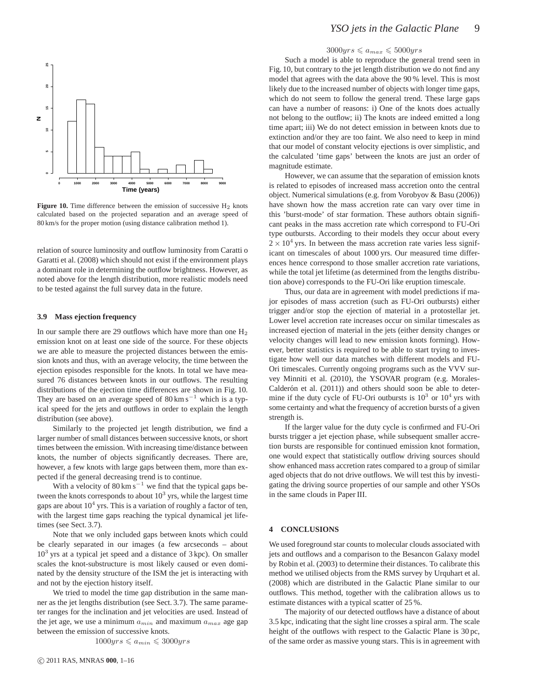

Figure 10. Time difference between the emission of successive H<sub>2</sub> knots calculated based on the projected separation and an average speed of 80 km/s for the proper motion (using distance calibration method 1).

relation of source luminosity and outflow luminosity from Caratti o Garatti et al. (2008) which should not exist if the environment plays a dominant role in determining the outflow brightness. However, as noted above for the length distribution, more realistic models need to be tested against the full survey data in the future.

#### **3.9 Mass ejection frequency**

In our sample there are 29 outflows which have more than one  $H_2$ emission knot on at least one side of the source. For these objects we are able to measure the projected distances between the emission knots and thus, with an average velocity, the time between the ejection episodes responsible for the knots. In total we have measured 76 distances between knots in our outflows. The resulting distributions of the ejection time differences are shown in Fig. 10. They are based on an average speed of  $80 \text{ km s}^{-1}$  which is a typical speed for the jets and outflows in order to explain the length distribution (see above).

Similarly to the projected jet length distribution, we find a larger number of small distances between successive knots, or short times between the emission. With increasing time/distance between knots, the number of objects significantly decreases. There are, however, a few knots with large gaps between them, more than expected if the general decreasing trend is to continue.

With a velocity of  $80 \text{ km s}^{-1}$  we find that the typical gaps between the knots corresponds to about  $10^3$  yrs, while the largest time gaps are about  $10^4$  yrs. This is a variation of roughly a factor of ten, with the largest time gaps reaching the typical dynamical jet lifetimes (see Sect. 3.7).

Note that we only included gaps between knots which could be clearly separated in our images (a few arcseconds – about 10<sup>3</sup> yrs at a typical jet speed and a distance of 3 kpc). On smaller scales the knot-substructure is most likely caused or even dominated by the density structure of the ISM the jet is interacting with and not by the ejection history itself.

We tried to model the time gap distribution in the same manner as the jet lengths distribution (see Sect. 3.7). The same parameter ranges for the inclination and jet velocities are used. Instead of the jet age, we use a minimum  $a_{min}$  and maximum  $a_{max}$  age gap between the emission of successive knots.

$$
1000 yrs \leqslant a_{min} \leqslant 3000 yrs
$$

#### $3000yrs \leq a_{max} \leq 5000yrs$

Such a model is able to reproduce the general trend seen in Fig. 10, but contrary to the jet length distribution we do not find any model that agrees with the data above the 90 % level. This is most likely due to the increased number of objects with longer time gaps, which do not seem to follow the general trend. These large gaps can have a number of reasons: i) One of the knots does actually not belong to the outflow; ii) The knots are indeed emitted a long time apart; iii) We do not detect emission in between knots due to extinction and/or they are too faint. We also need to keep in mind that our model of constant velocity ejections is over simplistic, and the calculated 'time gaps' between the knots are just an order of magnitude estimate.

However, we can assume that the separation of emission knots is related to episodes of increased mass accretion onto the central object. Numerical simulations (e.g. from Vorobyov & Basu (2006)) have shown how the mass accretion rate can vary over time in this 'burst-mode' of star formation. These authors obtain significant peaks in the mass accretion rate which correspond to FU-Ori type outbursts. According to their models they occur about every  $2 \times 10^4$  yrs. In between the mass accretion rate varies less significant on timescales of about 1000 yrs. Our measured time differences hence correspond to those smaller accretion rate variations, while the total jet lifetime (as determined from the lengths distribution above) corresponds to the FU-Ori like eruption timescale.

Thus, our data are in agreement with model predictions if major episodes of mass accretion (such as FU-Ori outbursts) either trigger and/or stop the ejection of material in a protostellar jet. Lower level accretion rate increases occur on similar timescales as increased ejection of material in the jets (either density changes or velocity changes will lead to new emission knots forming). However, better statistics is required to be able to start trying to investigate how well our data matches with different models and FU-Ori timescales. Currently ongoing programs such as the VVV survey Minniti et al. (2010), the YSOVAR program (e.g. Morales-Calderón et al.  $(2011)$ ) and others should soon be able to determine if the duty cycle of FU-Ori outbursts is  $10^3$  or  $10^4$  yrs with some certainty and what the frequency of accretion bursts of a given strength is.

If the larger value for the duty cycle is confirmed and FU-Ori bursts trigger a jet ejection phase, while subsequent smaller accretion bursts are responsible for continued emission knot formation, one would expect that statistically outflow driving sources should show enhanced mass accretion rates compared to a group of similar aged objects that do not drive outflows. We will test this by investigating the driving source properties of our sample and other YSOs in the same clouds in Paper III.

#### **4 CONCLUSIONS**

We used foreground star counts to molecular clouds associated with jets and outflows and a comparison to the Besancon Galaxy model by Robin et al. (2003) to determine their distances. To calibrate this method we utilised objects from the RMS survey by Urquhart et al. (2008) which are distributed in the Galactic Plane similar to our outflows. This method, together with the calibration allows us to estimate distances with a typical scatter of 25 %.

The majority of our detected outflows have a distance of about 3.5 kpc, indicating that the sight line crosses a spiral arm. The scale height of the outflows with respect to the Galactic Plane is 30 pc, of the same order as massive young stars. This is in agreement with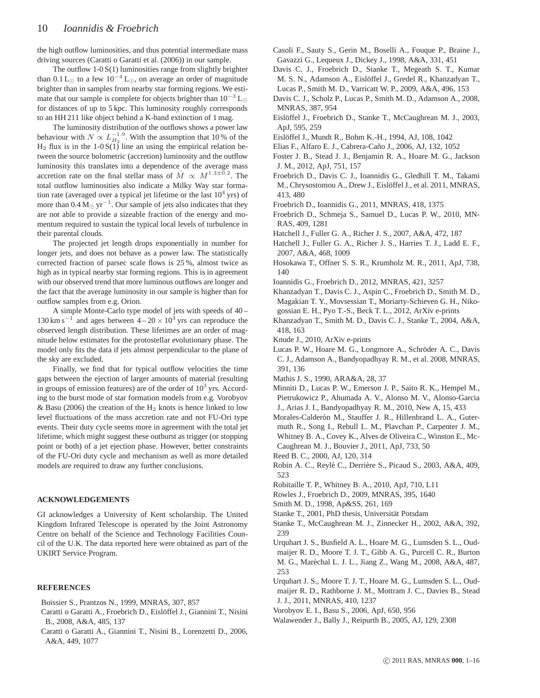the high outflow luminosities, and thus potential intermediate mass driving sources (Caratti o Garatti et al. (2006)) in our sample.

The outflow  $1-0 S(1)$  luminosities range from slightly brighter than 0.1 L<sub>⊙</sub> to a few 10<sup>-4</sup> L<sub>☉</sub>, on average an order of magnitude brighter than in samples from nearby star forming regions. We estimate that our sample is complete for objects brighter than  $10^{-3}$  L<sub>⊙</sub> for distances of up to 5 kpc. This luminosity roughly corresponds to an HH 211 like object behind a K-band extinction of 1 mag.

The luminosity distribution of the outflows shows a power law behaviour with  $N \propto L_{H_2}^{-1.9}$ . With the assumption that 10% of the  $H_2$  flux is in the 1-0 S(1) line an using the empirical relation between the source bolometric (accretion) luminosity and the outflow luminosity this translates into a dependence of the average mass accretion rate on the final stellar mass of  $\dot{M} \propto M^{1.3 \pm 0.2}$ . The total outflow luminosities also indicate a Milky Way star formation rate (averaged over a typical jet lifetime or the last  $10^4$  yrs) of more than  $0.4 M_{\odot}$  yr<sup>-1</sup>. Our sample of jets also indicates that they are not able to provide a sizeable fraction of the energy and momentum required to sustain the typical local levels of turbulence in their parental clouds.

The projected jet length drops exponentially in number for longer jets, and does not behave as a power law. The statistically corrected fraction of parsec scale flows is 25 %, almost twice as high as in typical nearby star forming regions. This is in agreement with our observed trend that more luminous outflows are longer and the fact that the average luminosity in our sample is higher than for outflow samples from e.g. Orion.

A simple Monte-Carlo type model of jets with speeds of 40 –  $130 \text{ km s}^{-1}$  and ages between  $4-20 \times 10^3$  yrs can reproduce the observed length distribution. These lifetimes are an order of magnitude below estimates for the protostellar evolutionary phase. The model only fits the data if jets almost perpendicular to the plane of the sky are excluded.

Finally, we find that for typical outflow velocities the time gaps between the ejection of larger amounts of material (resulting in groups of emission features) are of the order of  $10<sup>3</sup>$  yrs. According to the burst mode of star formation models from e.g. Vorobyov & Basu (2006) the creation of the  $H_2$  knots is hence linked to low level fluctuations of the mass accretion rate and not FU-Ori type events. Their duty cycle seems more in agreement with the total jet lifetime, which might suggest these outburst as trigger (or stopping point or both) of a jet ejection phase. However, better constraints of the FU-Ori duty cycle and mechanism as well as more detailed models are required to draw any further conclusions.

#### **ACKNOWLEDGEMENTS**

GI acknowledges a University of Kent scholarship. The United Kingdom Infrared Telescope is operated by the Joint Astronomy Centre on behalf of the Science and Technology Facilities Council of the U.K. The data reported here were obtained as part of the UKIRT Service Program.

#### **REFERENCES**

- Boissier S., Prantzos N., 1999, MNRAS, 307, 857
- Caratti o Garatti A., Froebrich D., Eislöffel J., Giannini T., Nisini B., 2008, A&A, 485, 137
- Caratti o Garatti A., Giannini T., Nisini B., Lorenzetti D., 2006, A&A, 449, 1077
- Casoli F., Sauty S., Gerin M., Boselli A., Fouque P., Braine J., Gavazzi G., Lequeux J., Dickey J., 1998, A&A, 331, 451
- Davis C. J., Froebrich D., Stanke T., Megeath S. T., Kumar M. S. N., Adamson A., Eislöffel J., Gredel R., Khanzadyan T., Lucas P., Smith M. D., Varricatt W. P., 2009, A&A, 496, 153
- Davis C. J., Scholz P., Lucas P., Smith M. D., Adamson A., 2008,
- MNRAS, 387, 954
- Eislöffel J., Froebrich D., Stanke T., McCaughrean M. J., 2003, ApJ, 595, 259
- Eislöffel J., Mundt R., Bohm K.-H., 1994, AJ, 108, 1042
- Elias F., Alfaro E. J., Cabrera-Ca˜no J., 2006, AJ, 132, 1052
- Foster J. B., Stead J. J., Benjamin R. A., Hoare M. G., Jackson J. M., 2012, ApJ, 751, 157
- Froebrich D., Davis C. J., Ioannidis G., Gledhill T. M., Takami M., Chrysostomou A., Drew J., Eislöffel J., et al. 2011, MNRAS, 413, 480
- Froebrich D., Ioannidis G., 2011, MNRAS, 418, 1375
- Froebrich D., Schmeja S., Samuel D., Lucas P. W., 2010, MN-RAS, 409, 1281
- Hatchell J., Fuller G. A., Richer J. S., 2007, A&A, 472, 187
- Hatchell J., Fuller G. A., Richer J. S., Harries T. J., Ladd E. F., 2007, A&A, 468, 1009
- Hosokawa T., Offner S. S. R., Krumholz M. R., 2011, ApJ, 738, 140
- Ioannidis G., Froebrich D., 2012, MNRAS, 421, 3257
- Khanzadyan T., Davis C. J., Aspin C., Froebrich D., Smith M. D., Magakian T. Y., Movsessian T., Moriarty-Schieven G. H., Nikogossian E. H., Pyo T.-S., Beck T. L., 2012, ArXiv e-prints
- Khanzadyan T., Smith M. D., Davis C. J., Stanke T., 2004, A&A, 418, 163
- Knude J., 2010, ArXiv e-prints
- Lucas P. W., Hoare M. G., Longmore A., Schröder A. C., Davis C. J., Adamson A., Bandyopadhyay R. M., et al. 2008, MNRAS, 391, 136
- Mathis J. S., 1990, ARA&A, 28, 37
- Minniti D., Lucas P. W., Emerson J. P., Saito R. K., Hempel M., Pietrukowicz P., Ahumada A. V., Alonso M. V., Alonso-Garcia J., Arias J. I., Bandyopadhyay R. M., 2010, New A, 15, 433
- Morales-Calderón M., Stauffer J. R., Hillenbrand L. A., Gutermuth R., Song I., Rebull L. M., Plavchan P., Carpenter J. M., Whitney B. A., Covey K., Alves de Oliveira C., Winston E., Mc-Caughrean M. J., Bouvier J., 2011, ApJ, 733, 50
- Reed B. C., 2000, AJ, 120, 314
- Robin A. C., Reylé C., Derrière S., Picaud S., 2003, A&A, 409, 523
- Robitaille T. P., Whitney B. A., 2010, ApJ, 710, L11
- Rowles J., Froebrich D., 2009, MNRAS, 395, 1640
- Smith M. D., 1998, Ap&SS, 261, 169
- Stanke T., 2001, PhD thesis, Universität Potsdam
- Stanke T., McCaughrean M. J., Zinnecker H., 2002, A&A, 392, 239
- Urquhart J. S., Busfield A. L., Hoare M. G., Lumsden S. L., Oudmaijer R. D., Moore T. J. T., Gibb A. G., Purcell C. R., Burton M. G., Maréchal L. J. L., Jiang Z., Wang M., 2008, A&A, 487, 253
- Urquhart J. S., Moore T. J. T., Hoare M. G., Lumsden S. L., Oudmaijer R. D., Rathborne J. M., Mottram J. C., Davies B., Stead J. J., 2011, MNRAS, 410, 1237
- Vorobyov E. I., Basu S., 2006, ApJ, 650, 956
- Walawender J., Bally J., Reipurth B., 2005, AJ, 129, 2308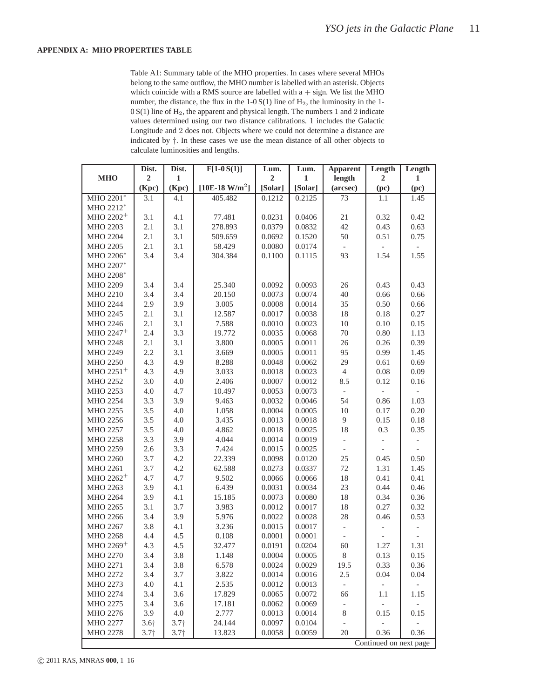#### **APPENDIX A: MHO PROPERTIES TABLE**

Table A1: Summary table of the MHO properties. In cases where several MHOs belong to the same outflow, the MHO number is labelled with an asterisk. Objects which coincide with a RMS source are labelled with  $a + sign$ . We list the MHO number, the distance, the flux in the  $1-0 S(1)$  line of  $H<sub>2</sub>$ , the luminosity in the 1-0 S(1) line of H2, the apparent and physical length. The numbers 1 and 2 indicate values determined using our two distance calibrations. 1 includes the Galactic Longitude and 2 does not. Objects where we could not determine a distance are indicated by †. In these cases we use the mean distance of all other objects to calculate luminosities and lengths.

|                       | Dist.            | Dist.            | $F[1-0S(1)]$                  | Lum.           | Lum.        | <b>Apparent</b>          | Length                 | Length       |
|-----------------------|------------------|------------------|-------------------------------|----------------|-------------|--------------------------|------------------------|--------------|
| <b>MHO</b>            | $\overline{2}$   | $\mathbf{1}$     |                               | $\overline{2}$ | $\mathbf 1$ | length                   | $\overline{2}$         | $\mathbf{1}$ |
|                       | (Kpc)            | (Kpc)            | [ $10E-18$ W/m <sup>2</sup> ] | [Solar]        | [Solar]     | (arcsec)                 | (pc)                   | (pc)         |
| MHO 2201*             | $\overline{3.1}$ | 4.1              | 405.482                       | 0.1212         | 0.2125      | 73                       | 1.1                    | 1.45         |
| MHO 2212*             |                  |                  |                               |                |             |                          |                        |              |
| MHO 2202 <sup>+</sup> | 3.1              | 4.1              | 77.481                        | 0.0231         | 0.0406      | $21\,$                   | 0.32                   | 0.42         |
| MHO 2203              | 2.1              | 3.1              | 278.893                       | 0.0379         | 0.0832      | 42                       | 0.43                   | 0.63         |
| <b>MHO 2204</b>       | 2.1              | 3.1              | 509.659                       | 0.0692         | 0.1520      | 50                       | 0.51                   | 0.75         |
| MHO 2205              | 2.1              | 3.1              | 58.429                        | 0.0080         | 0.0174      |                          |                        |              |
| MHO 2206*             | 3.4              | 3.4              | 304.384                       | 0.1100         | 0.1115      | 93                       | 1.54                   | 1.55         |
| MHO 2207*             |                  |                  |                               |                |             |                          |                        |              |
| MHO 2208*             |                  |                  |                               |                |             |                          |                        |              |
| MHO 2209              | 3.4              | 3.4              | 25.340                        | 0.0092         | 0.0093      | 26                       | 0.43                   | 0.43         |
| MHO 2210              | 3.4              | 3.4              | 20.150                        | 0.0073         | 0.0074      | 40                       | 0.66                   | 0.66         |
| MHO 2244              | 2.9              | 3.9              | 3.005                         | 0.0008         | 0.0014      | 35                       | 0.50                   | 0.66         |
| MHO 2245              | 2.1              | 3.1              | 12.587                        | 0.0017         | 0.0038      | $18\,$                   | $0.18\,$               | 0.27         |
| MHO 2246              | 2.1              | 3.1              | 7.588                         | 0.0010         | 0.0023      | $10\,$                   | 0.10                   | 0.15         |
| MHO 2247 <sup>+</sup> | 2.4              | 3.3              | 19.772                        | 0.0035         | 0.0068      | $70\,$                   | $0.80\,$               | 1.13         |
| <b>MHO 2248</b>       | 2.1              | 3.1              | 3.800                         | 0.0005         | 0.0011      | $26\,$                   | 0.26                   | 0.39         |
| MHO 2249              | 2.2              | 3.1              | 3.669                         | 0.0005         | 0.0011      | 95                       | 0.99                   | 1.45         |
| MHO 2250              | 4.3              | 4.9              | 8.288                         | 0.0048         | 0.0062      | 29                       | 0.61                   | 0.69         |
| MHO 2251 <sup>+</sup> | 4.3              | 4.9              | 3.033                         | 0.0018         | 0.0023      | $\overline{4}$           | $0.08\,$               | 0.09         |
| MHO 2252              | 3.0              | 4.0              | 2.406                         | 0.0007         | 0.0012      | 8.5                      | 0.12                   | 0.16         |
| MHO 2253              | $4.0\,$          | 4.7              | 10.497                        | 0.0053         | 0.0073      | $\overline{\phantom{a}}$ |                        |              |
| MHO 2254              | 3.3              | 3.9              | 9.463                         | 0.0032         | 0.0046      | 54                       | 0.86                   | 1.03         |
| MHO 2255              | 3.5              | 4.0              | 1.058                         | 0.0004         | 0.0005      | $10\,$                   | 0.17                   | 0.20         |
| MHO 2256              | $3.5$            | 4.0              | 3.435                         | 0.0013         | 0.0018      | $\overline{9}$           | 0.15                   | 0.18         |
| MHO 2257              | 3.5              | 4.0              | 4.862                         | 0.0018         | 0.0025      | 18                       | 0.3                    | 0.35         |
| <b>MHO 2258</b>       | 3.3              | 3.9              | 4.044                         | 0.0014         | 0.0019      | $\qquad \qquad -$        |                        |              |
| MHO 2259              | 2.6              | 3.3              | 7.424                         | 0.0015         | 0.0025      | $\overline{\phantom{a}}$ |                        |              |
| MHO 2260              | 3.7              | 4.2              | 22.339                        | 0.0098         | 0.0120      | 25                       | 0.45                   | 0.50         |
| MHO 2261              | 3.7              | 4.2              | 62.588                        | 0.0273         | 0.0337      | 72                       | 1.31                   | 1.45         |
| MHO 2262 <sup>+</sup> | 4.7              | 4.7              | 9.502                         | 0.0066         | 0.0066      | $18\,$                   | 0.41                   | 0.41         |
| MHO 2263              | 3.9              | 4.1              | 6.439                         | 0.0031         | 0.0034      | 23                       | 0.44                   | 0.46         |
| MHO 2264              | 3.9              | 4.1              | 15.185                        | 0.0073         | 0.0080      | $18\,$                   | 0.34                   | 0.36         |
| MHO 2265              | 3.1              | 3.7              | 3.983                         | 0.0012         | 0.0017      | $18\,$                   | 0.27                   | 0.32         |
| MHO 2266              | 3.4              | 3.9              | 5.976                         | 0.0022         | 0.0028      | $28\,$                   | 0.46                   | 0.53         |
| MHO 2267              | 3.8              | 4.1              | 3.236                         | 0.0015         | 0.0017      | $\qquad \qquad -$        |                        |              |
| MHO 2268              | 4.4              | 4.5              | 0.108                         | 0.0001         | 0.0001      | $\overline{\phantom{a}}$ |                        |              |
| MHO 2269 <sup>+</sup> | 4.3              | 4.5              | 32.477                        | 0.0191         | 0.0204      | 60                       | 1.27                   | 1.31         |
| MHO 2270              | 3.4              | 3.8              | 1.148                         | 0.0004         | 0.0005      | $8\,$                    | 0.13                   | 0.15         |
| MHO 2271              | 3.4              | 3.8              | 6.578                         | 0.0024         | 0.0029      | 19.5                     | 0.33                   | 0.36         |
| MHO 2272              | 3.4              | 3.7              | 3.822                         | 0.0014         | 0.0016      | 2.5                      | 0.04                   | 0.04         |
| MHO 2273              | 4.0              | 4.1              | 2.535                         | 0.0012         | 0.0013      | $\overline{\phantom{a}}$ |                        |              |
| MHO 2274              | 3.4              | 3.6              | 17.829                        | 0.0065         | 0.0072      | 66                       | 1.1                    | 1.15         |
| MHO 2275              | 3.4              | 3.6              | 17.181                        | 0.0062         | 0.0069      |                          |                        |              |
| MHO 2276              | 3.9              | $4.0$            | 2.777                         | 0.0013         | 0.0014      | 8                        | 0.15                   | 0.15         |
| <b>MHO 2277</b>       | $3.6\dagger$     | 3.7 <sub>†</sub> | 24.144                        | 0.0097         | 0.0104      |                          |                        |              |
| <b>MHO 2278</b>       | 3.7 <sub>†</sub> | 3.7 <sub>†</sub> | 13.823                        | 0.0058         | 0.0059      | 20                       | 0.36                   | 0.36         |
|                       |                  |                  |                               |                |             |                          | Continued on next page |              |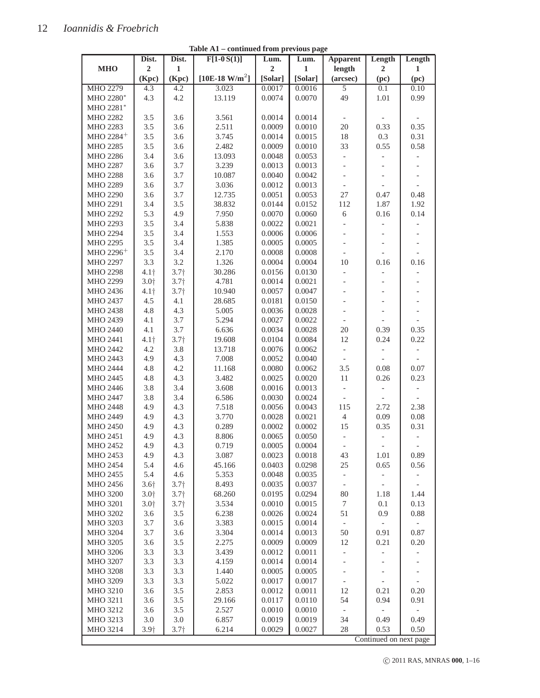|                         | Dist.                                 | Dist.            | $F[1-0S(1)]$    | Lum.             | Lum.    | <b>Apparent</b>                                      | Length                   | Length                   |
|-------------------------|---------------------------------------|------------------|-----------------|------------------|---------|------------------------------------------------------|--------------------------|--------------------------|
| <b>MHO</b>              | $\overline{2}$                        | $\mathbf{1}$     |                 | $\boldsymbol{2}$ | 1       | length                                               | $\overline{2}$           | $\mathbf{1}$             |
|                         | (Kpc)                                 | (Kpc)            | $[10E-18 W/m2]$ | [Solar]          | [Solar] | (arcsec)                                             | (pc)                     | (pc)                     |
| <b>MHO 2279</b>         | 4.3                                   | 4.2              | 3.023           | 0.0017           | 0.0016  | $\overline{5}$                                       | 0.1                      | 0.10                     |
| MHO 2280*               | 4.3                                   | 4.2              | 13.119          | 0.0074           | 0.0070  | 49                                                   | 1.01                     | 0.99                     |
| MHO 2281*               |                                       |                  |                 |                  |         |                                                      |                          |                          |
| MHO 2282                | 3.5                                   | 3.6              | 3.561           | 0.0014           | 0.0014  |                                                      |                          |                          |
| MHO 2283                | 3.5                                   | 3.6              | 2.511           | 0.0009           | 0.0010  | 20                                                   | 0.33                     | 0.35                     |
| MHO 2284 <sup>+</sup>   | 3.5                                   | 3.6              | 3.745           | 0.0014           | 0.0015  | 18                                                   | 0.3                      | 0.31                     |
| MHO 2285                | 3.5                                   | 3.6              | 2.482           | 0.0009           | 0.0010  | 33                                                   | 0.55                     | 0.58                     |
| MHO 2286                | 3.4                                   | 3.6              | 13.093          | 0.0048           | 0.0053  | $\frac{1}{2}$                                        |                          |                          |
| MHO 2287                | 3.6                                   | 3.7              | 3.239           | 0.0013           | 0.0013  | $\frac{1}{2}$                                        |                          |                          |
| <b>MHO 2288</b>         | 3.6                                   | 3.7              | 10.087          | 0.0040           | 0.0042  | $\frac{1}{2}$                                        |                          |                          |
| MHO 2289                | 3.6                                   | 3.7              | 3.036           | 0.0012           | 0.0013  | $\blacksquare$                                       |                          |                          |
| MHO 2290                | 3.6                                   | 3.7              | 12.735          | 0.0051           | 0.0053  | 27                                                   | 0.47                     | 0.48                     |
| MHO 2291                | 3.4                                   | 3.5              | 38.832          | 0.0144           | 0.0152  | 112                                                  | 1.87                     | 1.92                     |
| MHO 2292                | 5.3                                   | 4.9              | 7.950           | 0.0070           | 0.0060  | 6                                                    | 0.16                     | 0.14                     |
| MHO 2293                | 3.5                                   | 3.4              | 5.838           | 0.0022           | 0.0021  | $\frac{1}{2}$                                        | $\overline{\phantom{0}}$ |                          |
| MHO 2294                | 3.5                                   | 3.4              | 1.553           | 0.0006           | 0.0006  |                                                      |                          |                          |
| MHO 2295                | 3.5                                   | 3.4              | 1.385           | 0.0005           | 0.0005  |                                                      |                          |                          |
| MHO $2296$ <sup>+</sup> | 3.5                                   | 3.4              | 2.170           | 0.0008           | 0.0008  | $\overline{\phantom{a}}$                             |                          | $\overline{a}$           |
| MHO 2297                | 3.3                                   | 3.2              | 1.326           | 0.0004           | 0.0004  | 10                                                   | 0.16                     | 0.16                     |
| <b>MHO 2298</b>         | 4.1 <sub>†</sub>                      | 3.7 <sub>†</sub> | 30.286          | 0.0156           | 0.0130  | $\overline{\phantom{0}}$                             |                          |                          |
| MHO 2299                | 3.0 <sub>1</sub>                      | 3.7 <sub>†</sub> | 4.781           | 0.0014           | 0.0021  | $\frac{1}{2}$                                        | $\overline{\phantom{0}}$ | $\overline{\phantom{a}}$ |
| MHO 2436                | $4.1\dagger$                          | 3.7 <sub>†</sub> | 10.940          | 0.0057           | 0.0047  |                                                      |                          |                          |
| MHO 2437                | 4.5                                   | 4.1              | 28.685          | 0.0181           | 0.0150  |                                                      |                          |                          |
| MHO 2438                | 4.8                                   | 4.3              | 5.005           | 0.0036           | 0.0028  | $\overline{\phantom{a}}$                             | $\overline{a}$           |                          |
| MHO 2439                | 4.1                                   | 3.7              | 5.294           | 0.0027           | 0.0022  | $\frac{1}{2}$                                        |                          |                          |
| MHO 2440                | 4.1                                   | 3.7              | 6.636           | 0.0034           | 0.0028  | 20                                                   | 0.39                     | 0.35                     |
| MHO 2441                | 4.1 <sub>†</sub>                      | 3.7 <sub>†</sub> | 19.608          | 0.0104           | 0.0084  | 12                                                   | 0.24                     | 0.22                     |
| MHO 2442                | 4.2                                   | 3.8              | 13.718          | 0.0076           | 0.0062  | $\overline{\phantom{0}}$                             |                          |                          |
| MHO 2443                | 4.9                                   | 4.3              | 7.008           | 0.0052           | 0.0040  | $\overline{\phantom{a}}$                             |                          |                          |
| MHO 2444                | 4.8                                   | 4.2              | 11.168          | 0.0080           | 0.0062  | 3.5                                                  | 0.08                     | 0.07                     |
| MHO 2445                | 4.8                                   | 4.3              | 3.482           | 0.0025           | 0.0020  | 11                                                   | 0.26                     | 0.23                     |
| MHO 2446                | 3.8                                   | 3.4              | 3.608           | 0.0016           | 0.0013  | $\qquad \qquad -$                                    |                          |                          |
| MHO 2447                | 3.8                                   | 3.4              | 6.586           | 0.0030           | 0.0024  |                                                      |                          |                          |
| MHO 2448                | 4.9                                   | 4.3              | 7.518           | 0.0056           | 0.0043  | 115                                                  | 2.72                     | 2.38                     |
| MHO 2449                | 4.9                                   | 4.3              | 3.770           | 0.0028           | 0.0021  | $\overline{4}$                                       | 0.09                     | $0.08\,$                 |
| MHO 2450                | 4.9                                   | 4.3              | 0.289           | 0.0002           | 0.0002  | 15                                                   | 0.35                     | 0.31                     |
| MHO 2451                | 4.9                                   | 4.3              | 8.806           | 0.0065           | 0.0050  | $\qquad \qquad -$                                    | $\overline{\phantom{0}}$ |                          |
| MHO 2452                | 4.9                                   | 4.3              | 0.719           | 0.0005           | 0.0004  | $\overline{\phantom{0}}$                             | $\frac{1}{2}$            | $\overline{\phantom{a}}$ |
| MHO 2453                | 4.9                                   | 4.3              | 3.087           | 0.0023           | 0.0018  | 43                                                   | 1.01                     | 0.89                     |
| MHO 2454                | 5.4                                   | 4.6              | 45.166          | 0.0403           | 0.0298  | $25\,$                                               | 0.65                     | 0.56                     |
| MHO 2455                | 5.4                                   | 4.6              | 5.353           | 0.0048           | 0.0035  | $\qquad \qquad -$                                    | -                        |                          |
| MHO 2456                | $3.6\dagger$                          | 3.7 <sub>†</sub> | 8.493           | 0.0035           | 0.0037  | $\overline{\phantom{a}}$                             |                          |                          |
| MHO 3200                | 3.0 <sub>1</sub>                      | 3.7 <sub>†</sub> | 68.260          | 0.0195           | 0.0294  | 80                                                   | 1.18                     | 1.44                     |
| MHO 3201                | $3.0$ <sup><math>\dagger</math></sup> | 3.7 <sub>†</sub> | 3.534           | 0.0010           | 0.0015  | $\boldsymbol{7}$                                     | 0.1                      | 0.13                     |
| MHO 3202                | 3.6                                   | 3.5              | 6.238           | 0.0026           | 0.0024  | 51                                                   | 0.9                      | 0.88                     |
| MHO 3203                | $3.7\,$                               | 3.6              | 3.383           | 0.0015           | 0.0014  | $\overline{\phantom{a}}$                             |                          |                          |
| MHO 3204                | 3.7                                   | 3.6              | 3.304           | 0.0014           | 0.0013  | 50                                                   | 0.91                     | 0.87                     |
| MHO 3205                | 3.6                                   | 3.5              | 2.275           | 0.0009           | 0.0009  | 12                                                   | 0.21                     | 0.20                     |
| MHO 3206                | 3.3                                   | 3.3              | 3.439           | 0.0012           | 0.0011  |                                                      |                          |                          |
| <b>MHO 3207</b>         | 3.3                                   | 3.3              | 4.159           | 0.0014           | 0.0014  | $\overline{\phantom{0}}$                             |                          |                          |
| <b>MHO 3208</b>         | 3.3                                   | 3.3              | 1.440           | 0.0005           | 0.0005  | $\overline{\phantom{0}}$                             | -                        |                          |
| MHO 3209                | 3.3                                   | 3.3              | 5.022           | 0.0017           | 0.0017  | $\overline{\phantom{0}}$<br>$\overline{\phantom{a}}$ |                          |                          |
| MHO 3210                | 3.6                                   | 3.5              | 2.853           | 0.0012           | 0.0011  | 12                                                   | 0.21                     | 0.20                     |
| MHO 3211                |                                       | 3.5              |                 | 0.0117           |         | 54                                                   | 0.94                     | 0.91                     |
|                         | 3.6                                   |                  | 29.166          |                  | 0.0110  |                                                      |                          |                          |
| MHO 3212                | 3.6                                   | 3.5              | 2.527           | 0.0010           | 0.0010  | $\overline{\phantom{a}}$<br>34                       |                          |                          |
| MHO 3213                | 3.0                                   | 3.0              | 6.857           | 0.0019           | 0.0019  | 28                                                   | 0.49                     | 0.49                     |
| MHO 3214                | $3.9\dagger$                          | 3.7 <sub>†</sub> | 6.214           | 0.0029           | 0.0027  |                                                      | 0.53                     | 0.50                     |
|                         |                                       |                  |                 |                  |         |                                                      | Continued on next page   |                          |

**Table A1 – continued from previous page**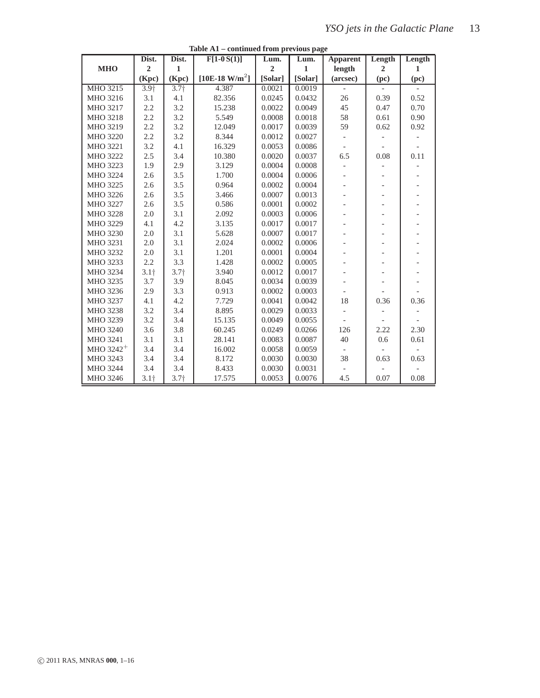|                 | Dist.            | Dist.            | $F[1-0S(1)]$                  | Lum.           | Lum.         | <b>Apparent</b>          | Length                   | Length |
|-----------------|------------------|------------------|-------------------------------|----------------|--------------|--------------------------|--------------------------|--------|
| <b>MHO</b>      | $\overline{2}$   | 1                |                               | $\overline{2}$ | $\mathbf{1}$ | length                   | $\overline{2}$           | 1      |
|                 | (Kpc)            | (Kpc)            | [ $10E-18$ W/m <sup>2</sup> ] | [Solar]        | [Solar]      | (arcsec)                 | (pc)                     | (pc)   |
| MHO 3215        | 3.9 <sub>1</sub> | $3.7+$           | 4.387                         | 0.0021         | 0.0019       |                          |                          |        |
| MHO 3216        | 3.1              | 4.1              | 82.356                        | 0.0245         | 0.0432       | 26                       | 0.39                     | 0.52   |
| MHO 3217        | 2.2              | 3.2              | 15.238                        | 0.0022         | 0.0049       | 45                       | 0.47                     | 0.70   |
| MHO 3218        | 2.2              | 3.2              | 5.549                         | 0.0008         | 0.0018       | 58                       | 0.61                     | 0.90   |
| MHO 3219        | 2.2              | 3.2              | 12.049                        | 0.0017         | 0.0039       | 59                       | 0.62                     | 0.92   |
| MHO 3220        | 2.2              | 3.2              | 8.344                         | 0.0012         | 0.0027       |                          |                          |        |
| <b>MHO 3221</b> | 3.2              | 4.1              | 16.329                        | 0.0053         | 0.0086       |                          |                          |        |
| MHO 3222        | 2.5              | 3.4              | 10.380                        | 0.0020         | 0.0037       | 6.5                      | 0.08                     | 0.11   |
| <b>MHO 3223</b> | 1.9              | 2.9              | 3.129                         | 0.0004         | 0.0008       |                          |                          |        |
| MHO 3224        | 2.6              | 3.5              | 1.700                         | 0.0004         | 0.0006       | $\overline{\phantom{0}}$ | $\qquad \qquad -$        |        |
| MHO 3225        | 2.6              | 3.5              | 0.964                         | 0.0002         | 0.0004       |                          | $\overline{\phantom{a}}$ |        |
| MHO 3226        | 2.6              | 3.5              | 3.466                         | 0.0007         | 0.0013       |                          | $\overline{\phantom{0}}$ |        |
| MHO 3227        | 2.6              | 3.5              | 0.586                         | 0.0001         | 0.0002       |                          | $\overline{\phantom{0}}$ |        |
| MHO 3228        | 2.0              | 3.1              | 2.092                         | 0.0003         | 0.0006       |                          | $\overline{\phantom{0}}$ |        |
| MHO 3229        | 4.1              | 4.2              | 3.135                         | 0.0017         | 0.0017       |                          | $\overline{\phantom{a}}$ |        |
| MHO 3230        | 2.0              | 3.1              | 5.628                         | 0.0007         | 0.0017       |                          |                          |        |
| <b>MHO 3231</b> | 2.0              | 3.1              | 2.024                         | 0.0002         | 0.0006       |                          |                          |        |
| <b>MHO 3232</b> | 2.0              | 3.1              | 1.201                         | 0.0001         | 0.0004       |                          | $\overline{\phantom{0}}$ |        |
| <b>MHO 3233</b> | 2.2              | 3.3              | 1.428                         | 0.0002         | 0.0005       |                          | $\overline{\phantom{a}}$ |        |
| MHO 3234        | 3.1 <sub>†</sub> | 3.7 <sub>†</sub> | 3.940                         | 0.0012         | 0.0017       |                          |                          |        |
| MHO 3235        | 3.7              | 3.9              | 8.045                         | 0.0034         | 0.0039       |                          | $\overline{\phantom{0}}$ |        |
| MHO 3236        | 2.9              | 3.3              | 0.913                         | 0.0002         | 0.0003       |                          |                          |        |
| MHO 3237        | 4.1              | 4.2              | 7.729                         | 0.0041         | 0.0042       | 18                       | 0.36                     | 0.36   |
| MHO 3238        | 3.2              | 3.4              | 8.895                         | 0.0029         | 0.0033       | $\overline{\phantom{0}}$ |                          |        |
| MHO 3239        | 3.2              | 3.4              | 15.135                        | 0.0049         | 0.0055       |                          |                          |        |
| MHO 3240        | 3.6              | 3.8              | 60.245                        | 0.0249         | 0.0266       | 126                      | 2.22                     | 2.30   |
| MHO 3241        | 3.1              | 3.1              | 28.141                        | 0.0083         | 0.0087       | 40                       | 0.6                      | 0.61   |
| MHO $3242^+$    | 3.4              | 3.4              | 16.002                        | 0.0058         | 0.0059       |                          |                          |        |
| MHO 3243        | 3.4              | 3.4              | 8.172                         | 0.0030         | 0.0030       | 38                       | 0.63                     | 0.63   |
| MHO 3244        | 3.4              | 3.4              | 8.433                         | 0.0030         | 0.0031       |                          |                          |        |
| MHO 3246        | $3.1+$           | 3.7 <sub>†</sub> | 17.575                        | 0.0053         | 0.0076       | 4.5                      | 0.07                     | 0.08   |

**Table A1 – continued from previous page**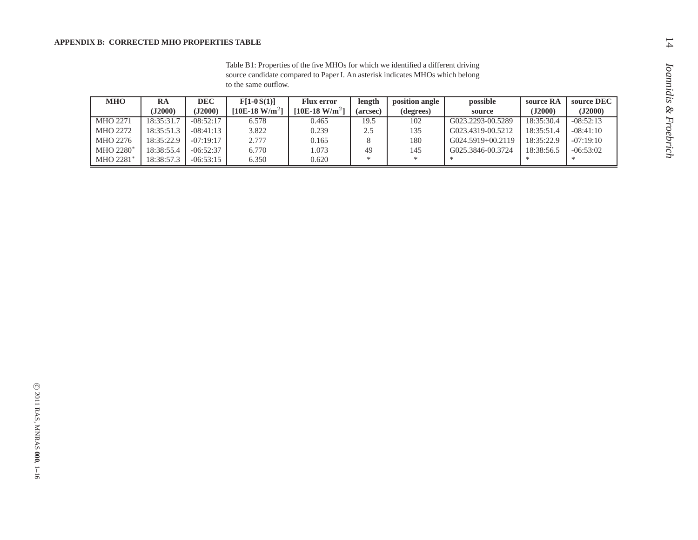#### **APPENDIX B: CORRECTED MHO PROPERTIES TABLE**

| <b>MHO</b>      | RA         | DEC         | $F[1-0S(1)]$               | <b>Flux error</b>             | length   | position angle | possible               | source RA  | source DEC  |
|-----------------|------------|-------------|----------------------------|-------------------------------|----------|----------------|------------------------|------------|-------------|
|                 | (J2000)    | (J2000)     | [10E-18 W/m <sup>2</sup> ] | [ $10E-18$ W/m <sup>2</sup> ] | (arcsec) | (degrees)      | source                 | (J2000)    | (J2000)     |
| <b>MHO 2271</b> | 18:35:31.7 | $-08:52:17$ | 6.578                      | 0.465                         | 19.5     | 102            | G023.2293-00.5289      | 18:35:30.4 | $-08:52:13$ |
| <b>MHO 2272</b> | 18:35:51.3 | $-08:41:13$ | 3.822                      | 0.239                         | 2.5      | 135            | G023.4319-00.5212      | 18:35:51.4 | $-08:41:10$ |
| MHO 2276        | 18:35:22.9 | $-07:19:17$ | 2.777                      | 0.165                         |          | 180            | $G(024.5919 + 00.2119$ | 18:35:22.9 | $-07:19:10$ |
| MHO 2280*       | 18:38:55.4 | $-06:52:37$ | 6.770                      | .073                          | 49       | 145            | G025.3846-00.3724      | 18:38:56.5 | $-06:53:02$ |
| MHO 2281*       | 18:38:57.3 | $-06:53:15$ | 6.350                      | 0.620                         | ×        | ∗              |                        | ∗          | ∗           |

Table B1: Properties of the five MHOs for which we identified a different driving source candidate compared to Paper I. An asterisk indicates MHOs which belong to the same outflow.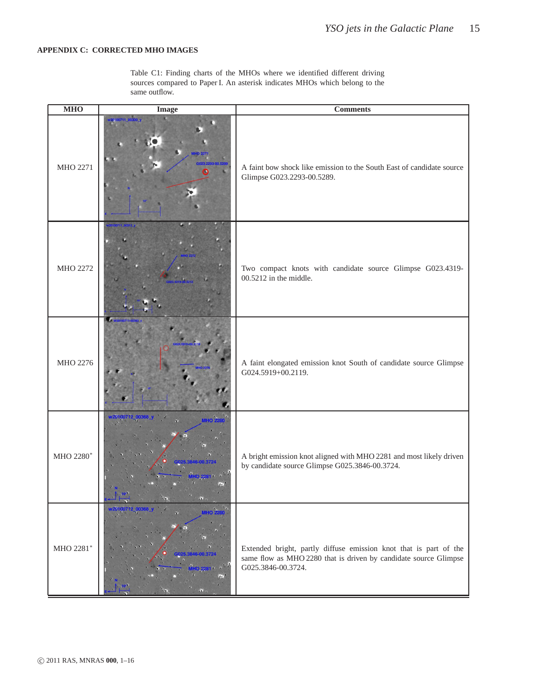#### **APPENDIX C: CORRECTED MHO IMAGES**

Table C1: Finding charts of the MHOs where we identified different driving sources compared to Paper I. An asterisk indicates MHOs which belong to the same outflow.

| <b>MHO</b> | <b>Image</b>     | <b>Comments</b>                                                                                                                                             |
|------------|------------------|-------------------------------------------------------------------------------------------------------------------------------------------------------------|
| MHO 2271   | 20100711 00300 V | A faint bow shock like emission to the South East of candidate source<br>Glimpse G023.2293-00.5289.                                                         |
| MHO 2272   |                  | Two compact knots with candidate source Glimpse G023.4319-<br>00.5212 in the middle.                                                                        |
| MHO 2276   |                  | A faint elongated emission knot South of candidate source Glimpse<br>G024.5919+00.2119.                                                                     |
| MHO 2280*  |                  | A bright emission knot aligned with MHO 2281 and most likely driven<br>by candidate source Glimpse G025.3846-00.3724.                                       |
| MHO 2281*  | <b>VIHO</b>      | Extended bright, partly diffuse emission knot that is part of the<br>same flow as MHO 2280 that is driven by candidate source Glimpse<br>G025.3846-00.3724. |